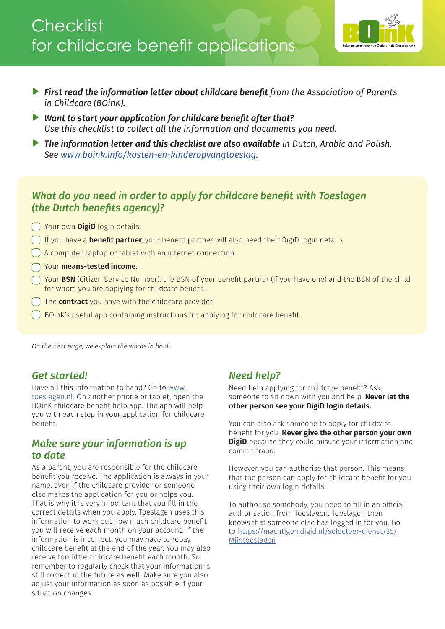## **Checklist** for childcare benefit applications



- ▲ *First read the information letter about childcare benefit from the Association of Parents in Childcare (BOinK).*
- ▲ *Want to start your application for childcare benefit after that? Use this checklist to collect all the information and documents you need.*
- ▲ *The information letter and this checklist are also available in Dutch, Arabic and Polish. See [www.boink.info/kosten-en-kinderopvangtoeslag.](https://www.boink.info/kosten-en-kinderopvangtoeslag)*

## *What do you need in order to apply for childcare benefit with Toeslagen (the Dutch benefits agency)?*

**Nour own DigiD** login details.

- If you have a **benefit partner**, your benefit partner will also need their DigiD login details.
- A computer, laptop or tablet with an internet connection.
- Your **means-tested income**.
- Your **BSN** (Citizen Service Number), the BSN of your benefit partner (if you have one) and the BSN of the child for whom you are applying for childcare benefit.
- The **contract** you have with the childcare provider.
- BOinK's useful app containing instructions for applying for childcare benefit.

*On the next page, we explain the words in bold.* 

## *Get started!*

Have all this information to hand? Go to [www.](http://www.toeslagen.nl) [toeslagen.nl.](http://www.toeslagen.nl) On another phone or tablet, open the BOinK childcare benefit help app. The app will help you with each step in your application for childcare benefit.

## *Make sure your information is up to date*

As a parent, you are responsible for the childcare benefit you receive. The application is always in your name, even if the childcare provider or someone else makes the application for you or helps you. That is why it is very important that you fill in the correct details when you apply. Toeslagen uses this information to work out how much childcare benefit you will receive each month on your account. If the information is incorrect, you may have to repay childcare benefit at the end of the year. You may also receive too little childcare benefit each month. So remember to regularly check that your information is still correct in the future as well. Make sure you also adjust your information as soon as possible if your situation changes.

## *Need help?*

Need help applying for childcare benefit? Ask someone to sit down with you and help. **Never let the other person see your DigiD login details.** 

You can also ask someone to apply for childcare benefit for you. **Never give the other person your own DigiD** because they could misuse your information and commit fraud.

However, you can authorise that person. This means that the person can apply for childcare benefit for you using their own login details.

To authorise somebody, you need to fill in an official authorisation from Toeslagen. Toeslagen then knows that someone else has logged in for you. Go to [https://machtigen.digid.nl/selecteer-dienst/35/](https://machtigen.digid.nl/selecteer-dienst/35/Mijntoeslagen) [Mijntoeslagen](https://machtigen.digid.nl/selecteer-dienst/35/Mijntoeslagen)